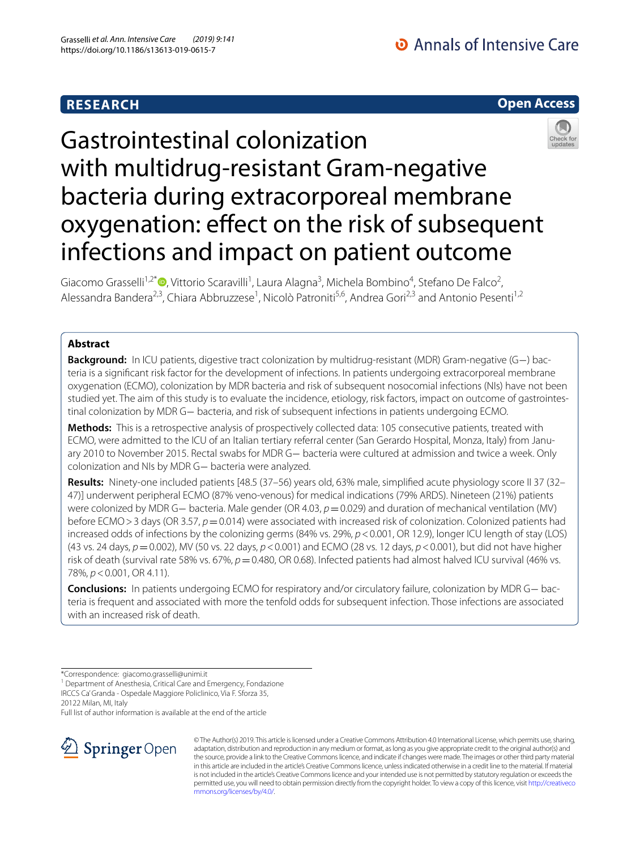# **Open Access**



# Gastrointestinal colonization with multidrug-resistant Gram-negative bacteria during extracorporeal membrane oxygenation: effect on the risk of subsequent infections and impact on patient outcome

Giacomo Grasselli<sup>1,2\*</sup><sup>®</sup>[,](http://orcid.org/0000-0002-1735-1400) Vittorio Scaravilli<sup>1</sup>, Laura Alagna<sup>3</sup>, Michela Bombino<sup>4</sup>, Stefano De Falco<sup>2</sup>, Alessandra Bandera<sup>2,3</sup>, Chiara Abbruzzese<sup>1</sup>, Nicolò Patroniti<sup>5,6</sup>, Andrea Gori<sup>2,3</sup> and Antonio Pesenti<sup>1,2</sup>

### **Abstract**

**Background:** In ICU patients, digestive tract colonization by multidrug-resistant (MDR) Gram-negative (G−) bacteria is a signifcant risk factor for the development of infections. In patients undergoing extracorporeal membrane oxygenation (ECMO), colonization by MDR bacteria and risk of subsequent nosocomial infections (NIs) have not been studied yet. The aim of this study is to evaluate the incidence, etiology, risk factors, impact on outcome of gastrointestinal colonization by MDR G− bacteria, and risk of subsequent infections in patients undergoing ECMO.

**Methods:** This is a retrospective analysis of prospectively collected data: 105 consecutive patients, treated with ECMO, were admitted to the ICU of an Italian tertiary referral center (San Gerardo Hospital, Monza, Italy) from January 2010 to November 2015. Rectal swabs for MDR G− bacteria were cultured at admission and twice a week. Only colonization and NIs by MDR G− bacteria were analyzed.

**Results:** Ninety-one included patients [48.5 (37–56) years old, 63% male, simplifed acute physiology score II 37 (32– 47)] underwent peripheral ECMO (87% veno-venous) for medical indications (79% ARDS). Nineteen (21%) patients were colonized by MDR G− bacteria. Male gender (OR 4.03, *p* = 0.029) and duration of mechanical ventilation (MV) before ECMO>3 days (OR 3.57, *p*=0.014) were associated with increased risk of colonization. Colonized patients had increased odds of infections by the colonizing germs (84% vs. 29%,  $p < 0.001$ , OR 12.9), longer ICU length of stay (LOS) (43 vs. 24 days, *p*=0.002), MV (50 vs. 22 days, *p*<0.001) and ECMO (28 vs. 12 days, *p*<0.001), but did not have higher risk of death (survival rate 58% vs. 67%,  $p = 0.480$ , OR 0.68). Infected patients had almost halved ICU survival (46% vs. 78%, *p*<0.001, OR 4.11).

**Conclusions:** In patients undergoing ECMO for respiratory and/or circulatory failure, colonization by MDR G− bacteria is frequent and associated with more the tenfold odds for subsequent infection. Those infections are associated with an increased risk of death.

<sup>1</sup> Department of Anesthesia, Critical Care and Emergency, Fondazione IRCCS Ca' Granda - Ospedale Maggiore Policlinico, Via F. Sforza 35, 20122 Milan, MI, Italy

Full list of author information is available at the end of the article



© The Author(s) 2019. This article is licensed under a Creative Commons Attribution 4.0 International License, which permits use, sharing, adaptation, distribution and reproduction in any medium or format, as long as you give appropriate credit to the original author(s) and the source, provide a link to the Creative Commons licence, and indicate if changes were made. The images or other third party material in this article are included in the article's Creative Commons licence, unless indicated otherwise in a credit line to the material. If material is not included in the article's Creative Commons licence and your intended use is not permitted by statutory regulation or exceeds the permitted use, you will need to obtain permission directly from the copyright holder. To view a copy of this licence, visit [http://creativeco](http://creativecommons.org/licenses/by/4.0/) [mmons.org/licenses/by/4.0/.](http://creativecommons.org/licenses/by/4.0/)

<sup>\*</sup>Correspondence: giacomo.grasselli@unimi.it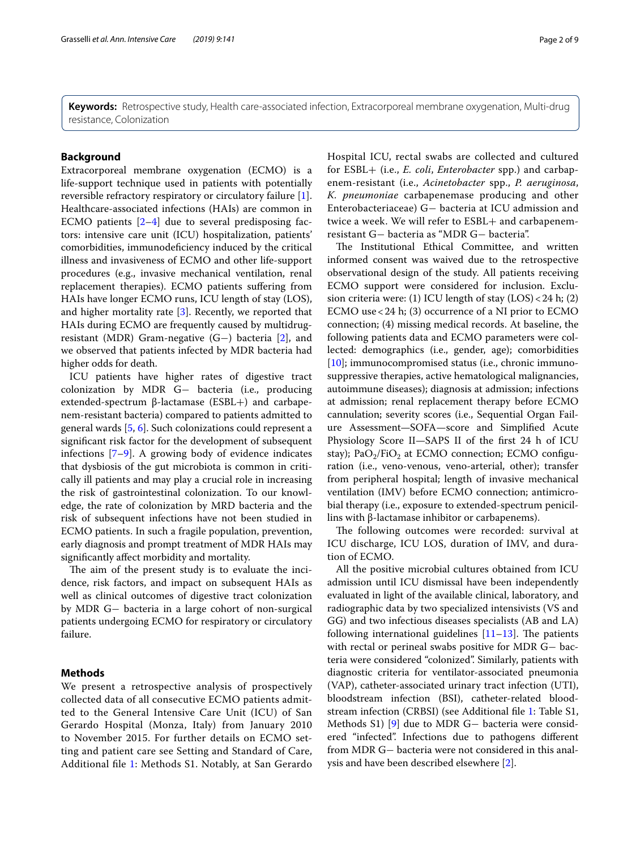**Keywords:** Retrospective study, Health care-associated infection, Extracorporeal membrane oxygenation, Multi-drug resistance, Colonization

#### **Background**

Extracorporeal membrane oxygenation (ECMO) is a life-support technique used in patients with potentially reversible refractory respiratory or circulatory failure [\[1](#page-7-0)]. Healthcare-associated infections (HAIs) are common in ECMO patients [\[2](#page-7-1)[–4](#page-7-2)] due to several predisposing factors: intensive care unit (ICU) hospitalization, patients' comorbidities, immunodeficiency induced by the critical illness and invasiveness of ECMO and other life-support procedures (e.g., invasive mechanical ventilation, renal replacement therapies). ECMO patients sufering from HAIs have longer ECMO runs, ICU length of stay (LOS), and higher mortality rate [[3\]](#page-7-3). Recently, we reported that HAIs during ECMO are frequently caused by multidrugresistant (MDR) Gram-negative (G−) bacteria [[2\]](#page-7-1), and we observed that patients infected by MDR bacteria had higher odds for death.

ICU patients have higher rates of digestive tract colonization by MDR G− bacteria (i.e., producing extended-spectrum β-lactamase (ESBL+) and carbapenem-resistant bacteria) compared to patients admitted to general wards [[5,](#page-7-4) [6](#page-7-5)]. Such colonizations could represent a signifcant risk factor for the development of subsequent infections [\[7](#page-7-6)[–9\]](#page-7-7). A growing body of evidence indicates that dysbiosis of the gut microbiota is common in critically ill patients and may play a crucial role in increasing the risk of gastrointestinal colonization. To our knowledge, the rate of colonization by MRD bacteria and the risk of subsequent infections have not been studied in ECMO patients. In such a fragile population, prevention, early diagnosis and prompt treatment of MDR HAIs may signifcantly afect morbidity and mortality.

The aim of the present study is to evaluate the incidence, risk factors, and impact on subsequent HAIs as well as clinical outcomes of digestive tract colonization by MDR G− bacteria in a large cohort of non-surgical patients undergoing ECMO for respiratory or circulatory failure.

#### **Methods**

We present a retrospective analysis of prospectively collected data of all consecutive ECMO patients admitted to the General Intensive Care Unit (ICU) of San Gerardo Hospital (Monza, Italy) from January 2010 to November 2015. For further details on ECMO setting and patient care see Setting and Standard of Care, Additional fle [1:](#page-6-0) Methods S1. Notably, at San Gerardo Hospital ICU, rectal swabs are collected and cultured for ESBL+ (i.e., *E. coli*, *Enterobacter* spp.) and carbapenem-resistant (i.e., *Acinetobacter* spp., *P. aeruginosa*, *K. pneumoniae* carbapenemase producing and other Enterobacteriaceae) G− bacteria at ICU admission and twice a week. We will refer to ESBL+ and carbapenemresistant G− bacteria as "MDR G− bacteria".

The Institutional Ethical Committee, and written informed consent was waived due to the retrospective observational design of the study. All patients receiving ECMO support were considered for inclusion. Exclusion criteria were: (1) ICU length of stay (LOS)<24 h; (2) ECMO use<24 h; (3) occurrence of a NI prior to ECMO connection; (4) missing medical records. At baseline, the following patients data and ECMO parameters were collected: demographics (i.e., gender, age); comorbidities [[10\]](#page-7-8); immunocompromised status (i.e., chronic immunosuppressive therapies, active hematological malignancies, autoimmune diseases); diagnosis at admission; infections at admission; renal replacement therapy before ECMO cannulation; severity scores (i.e., Sequential Organ Failure Assessment—SOFA—score and Simplifed Acute Physiology Score II—SAPS II of the frst 24 h of ICU stay); PaO<sub>2</sub>/FiO<sub>2</sub> at ECMO connection; ECMO configuration (i.e., veno-venous, veno-arterial, other); transfer from peripheral hospital; length of invasive mechanical ventilation (IMV) before ECMO connection; antimicrobial therapy (i.e., exposure to extended-spectrum penicillins with β-lactamase inhibitor or carbapenems).

The following outcomes were recorded: survival at ICU discharge, ICU LOS, duration of IMV, and duration of ECMO.

All the positive microbial cultures obtained from ICU admission until ICU dismissal have been independently evaluated in light of the available clinical, laboratory, and radiographic data by two specialized intensivists (VS and GG) and two infectious diseases specialists (AB and LA) following international guidelines  $[11-13]$  $[11-13]$  $[11-13]$ . The patients with rectal or perineal swabs positive for MDR G− bacteria were considered "colonized". Similarly, patients with diagnostic criteria for ventilator-associated pneumonia (VAP), catheter-associated urinary tract infection (UTI), bloodstream infection (BSI), catheter-related bloodstream infection (CRBSI) (see Additional fle [1](#page-6-0): Table S1, Methods S1) [\[9](#page-7-7)] due to MDR G− bacteria were considered "infected". Infections due to pathogens diferent from MDR G− bacteria were not considered in this analysis and have been described elsewhere [\[2](#page-7-1)].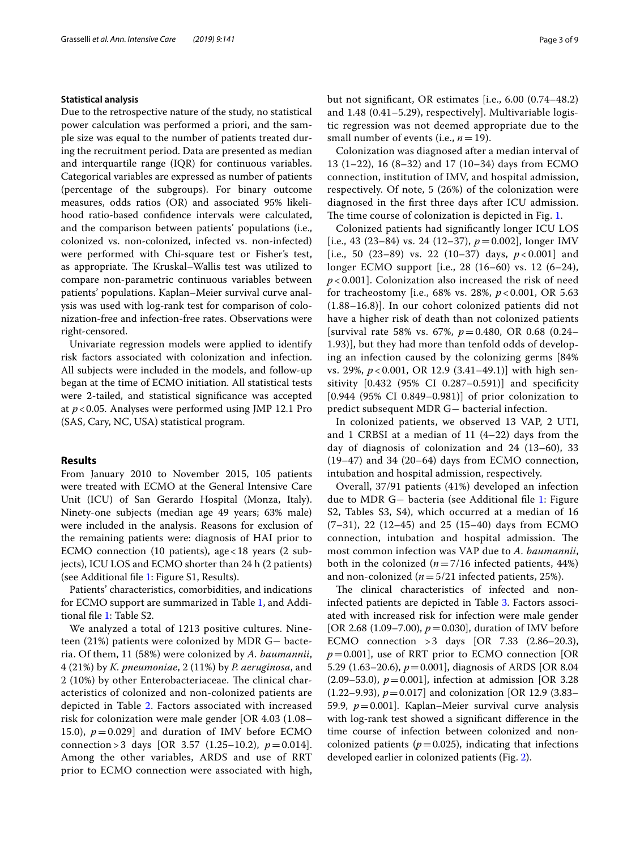#### **Statistical analysis**

Due to the retrospective nature of the study, no statistical power calculation was performed a priori, and the sample size was equal to the number of patients treated during the recruitment period. Data are presented as median and interquartile range (IQR) for continuous variables. Categorical variables are expressed as number of patients (percentage of the subgroups). For binary outcome measures, odds ratios (OR) and associated 95% likelihood ratio-based confdence intervals were calculated, and the comparison between patients' populations (i.e., colonized vs. non-colonized, infected vs. non-infected) were performed with Chi-square test or Fisher's test, as appropriate. The Kruskal–Wallis test was utilized to compare non-parametric continuous variables between patients' populations. Kaplan–Meier survival curve analysis was used with log-rank test for comparison of colonization-free and infection-free rates. Observations were right-censored.

Univariate regression models were applied to identify risk factors associated with colonization and infection. All subjects were included in the models, and follow-up began at the time of ECMO initiation. All statistical tests were 2-tailed, and statistical signifcance was accepted at *p*<0.05. Analyses were performed using JMP 12.1 Pro (SAS, Cary, NC, USA) statistical program.

#### **Results**

From January 2010 to November 2015, 105 patients were treated with ECMO at the General Intensive Care Unit (ICU) of San Gerardo Hospital (Monza, Italy). Ninety-one subjects (median age 49 years; 63% male) were included in the analysis. Reasons for exclusion of the remaining patients were: diagnosis of HAI prior to ECMO connection (10 patients), age<18 years (2 subjects), ICU LOS and ECMO shorter than 24 h (2 patients) (see Additional fle [1:](#page-6-0) Figure S1, Results).

Patients' characteristics, comorbidities, and indications for ECMO support are summarized in Table [1,](#page-3-0) and Additional fle [1](#page-6-0): Table S2.

We analyzed a total of 1213 positive cultures. Nineteen (21%) patients were colonized by MDR G− bacteria. Of them, 11 (58%) were colonized by *A. baumannii*, 4 (21%) by *K. pneumoniae*, 2 (11%) by *P. aeruginosa*, and 2 (10%) by other Enterobacteriaceae. The clinical characteristics of colonized and non-colonized patients are depicted in Table [2](#page-4-0). Factors associated with increased risk for colonization were male gender [OR 4.03 (1.08– 15.0),  $p = 0.029$ ] and duration of IMV before ECMO connection > 3 days [OR 3.57 (1.25–10.2), *p*=0.014]. Among the other variables, ARDS and use of RRT prior to ECMO connection were associated with high, but not signifcant, OR estimates [i.e., 6.00 (0.74–48.2) and 1.48 (0.41–5.29), respectively]. Multivariable logistic regression was not deemed appropriate due to the small number of events (i.e., *n*=19).

Colonization was diagnosed after a median interval of 13 (1–22), 16 (8–32) and 17 (10–34) days from ECMO connection, institution of IMV, and hospital admission, respectively. Of note, 5 (26%) of the colonization were diagnosed in the frst three days after ICU admission. The time course of colonization is depicted in Fig. [1.](#page-4-1)

Colonized patients had signifcantly longer ICU LOS [i.e., 43 (23–84) vs. 24 (12–37),  $p = 0.002$ ], longer IMV [i.e., 50  $(23-89)$  vs. 22  $(10-37)$  days,  $p < 0.001$ ] and longer ECMO support [i.e., 28 (16–60) vs. 12 (6–24), *p* < 0.001]. Colonization also increased the risk of need for tracheostomy [i.e., 68% vs. 28%, *p* < 0.001, OR 5.63 (1.88–16.8)]. In our cohort colonized patients did not have a higher risk of death than not colonized patients [survival rate 58% vs. 67%, *p*=0.480, OR 0.68 (0.24– 1.93)], but they had more than tenfold odds of developing an infection caused by the colonizing germs [84% vs. 29%, *p* < 0.001, OR 12.9 (3.41–49.1)] with high sensitivity [0.432 (95% CI 0.287–0.591)] and specifcity [0.944 (95% CI 0.849–0.981)] of prior colonization to predict subsequent MDR G− bacterial infection.

In colonized patients, we observed 13 VAP, 2 UTI, and 1 CRBSI at a median of 11 (4–22) days from the day of diagnosis of colonization and 24 (13–60), 33 (19–47) and 34 (20–64) days from ECMO connection, intubation and hospital admission, respectively.

Overall, 37/91 patients (41%) developed an infection due to MDR G− bacteria (see Additional fle [1](#page-6-0): Figure S2, Tables S3, S4), which occurred at a median of 16 (7–31), 22 (12–45) and 25 (15–40) days from ECMO connection, intubation and hospital admission. The most common infection was VAP due to *A. baumannii*, both in the colonized  $(n=7/16$  infected patients, 44%) and non-colonized (*n*=5/21 infected patients, 25%).

The clinical characteristics of infected and noninfected patients are depicted in Table [3](#page-5-0). Factors associated with increased risk for infection were male gender [OR 2.68 (1.09–7.00), *p*=0.030], duration of IMV before ECMO connection >3 days [OR 7.33 (2.86–20.3),  $p=0.001$ ], use of RRT prior to ECMO connection [OR 5.29 (1.63–20.6), *p*=0.001], diagnosis of ARDS [OR 8.04 (2.09–53.0),  $p = 0.001$ ], infection at admission [OR 3.28]  $(1.22-9.93)$ ,  $p=0.017$ ] and colonization [OR 12.9 (3.83– 59.9, *p*=0.001]. Kaplan–Meier survival curve analysis with log-rank test showed a signifcant diference in the time course of infection between colonized and noncolonized patients ( $p=0.025$ ), indicating that infections developed earlier in colonized patients (Fig. [2\)](#page-4-2).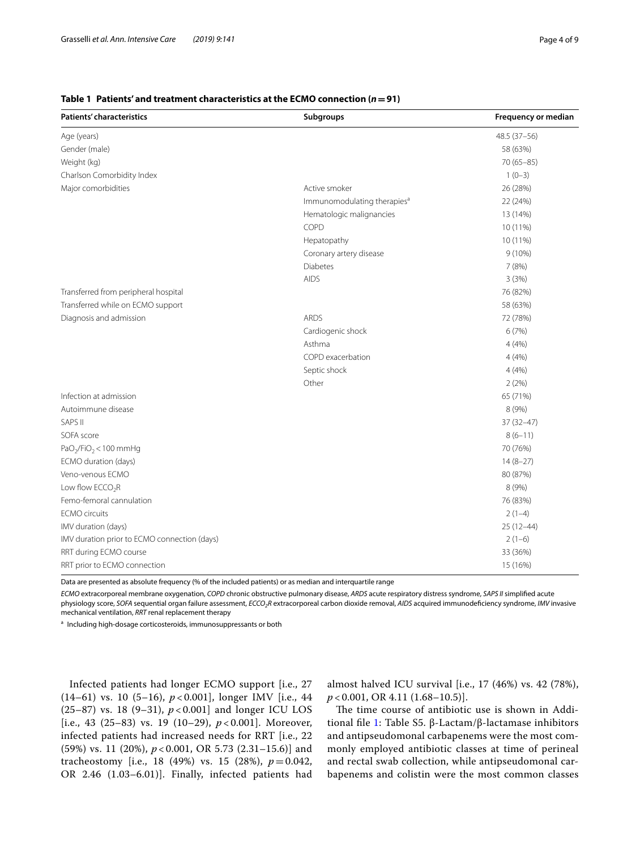#### <span id="page-3-0"></span>**Table 1 Patients' and treatment characteristics at the ECMO connection (***n***=91)**

| <b>Patients' characteristics</b>             | Subgroups                               | Frequency or median |
|----------------------------------------------|-----------------------------------------|---------------------|
| Age (years)                                  |                                         | 48.5 (37-56)        |
| Gender (male)                                |                                         | 58 (63%)            |
| Weight (kg)                                  |                                         | $70(65 - 85)$       |
| Charlson Comorbidity Index                   |                                         | $1(0-3)$            |
| Major comorbidities                          | Active smoker                           | 26 (28%)            |
|                                              | Immunomodulating therapies <sup>a</sup> | 22 (24%)            |
|                                              | Hematologic malignancies                | 13 (14%)            |
|                                              | COPD                                    | 10 (11%)            |
|                                              | Hepatopathy                             | 10 (11%)            |
|                                              | Coronary artery disease                 | $9(10\%)$           |
|                                              | <b>Diabetes</b>                         | 7(8%)               |
|                                              | <b>AIDS</b>                             | 3(3%)               |
| Transferred from peripheral hospital         |                                         | 76 (82%)            |
| Transferred while on ECMO support            |                                         | 58 (63%)            |
| Diagnosis and admission                      | <b>ARDS</b>                             | 72 (78%)            |
|                                              | Cardiogenic shock                       | 6(7%)               |
|                                              | Asthma                                  | 4(4%)               |
|                                              | COPD exacerbation                       | 4(4%)               |
|                                              | Septic shock                            | 4(4%)               |
|                                              | Other                                   | 2(2%)               |
| Infection at admission                       |                                         | 65 (71%)            |
| Autoimmune disease                           |                                         | 8 (9%)              |
| <b>SAPS II</b>                               |                                         | $37(32 - 47)$       |
| SOFA score                                   |                                         | $8(6-11)$           |
| $PaO2/FiO2 < 100 mmHg$                       |                                         | 70 (76%)            |
| ECMO duration (days)                         |                                         | $14(8-27)$          |
| Veno-venous ECMO                             |                                         | 80 (87%)            |
| Low flow $ECCO2R$                            |                                         | 8 (9%)              |
| Femo-femoral cannulation                     |                                         | 76 (83%)            |
| <b>ECMO</b> circuits                         |                                         | $2(1-4)$            |
| IMV duration (days)                          |                                         | $25(12-44)$         |
| IMV duration prior to ECMO connection (days) |                                         | $2(1-6)$            |
| RRT during ECMO course                       |                                         | 33 (36%)            |
| RRT prior to ECMO connection                 |                                         | 15 (16%)            |

Data are presented as absolute frequency (% of the included patients) or as median and interquartile range

*ECMO* extracorporeal membrane oxygenation, *COPD* chronic obstructive pulmonary disease, *ARDS* acute respiratory distress syndrome, *SAPS II* simplifed acute physiology score, *SOFA* sequential organ failure assessment, *ECCO2R* extracorporeal carbon dioxide removal, *AIDS* acquired immunodefciency syndrome, *IMV* invasive mechanical ventilation, *RRT* renal replacement therapy

<sup>a</sup> Including high-dosage corticosteroids, immunosuppressants or both

Infected patients had longer ECMO support [i.e., 27 (14–61) vs. 10 (5–16), *p* < 0.001], longer IMV [i.e., 44 (25–87) vs. 18 (9–31), *p* < 0.001] and longer ICU LOS [i.e., 43 (25–83) vs. 19 (10–29), *p* < 0.001]. Moreover, infected patients had increased needs for RRT [i.e., 22 (59%) vs. 11 (20%), *p* < 0.001, OR 5.73 (2.31–15.6)] and tracheostomy [i.e., 18 (49%) vs. 15 (28%),  $p = 0.042$ , OR 2.46 (1.03–6.01)]. Finally, infected patients had almost halved ICU survival [i.e., 17 (46%) vs. 42 (78%), *p* < 0.001, OR 4.11 (1.68–10.5)].

The time course of antibiotic use is shown in Additional fle [1:](#page-6-0) Table S5. β-Lactam/β-lactamase inhibitors and antipseudomonal carbapenems were the most commonly employed antibiotic classes at time of perineal and rectal swab collection, while antipseudomonal carbapenems and colistin were the most common classes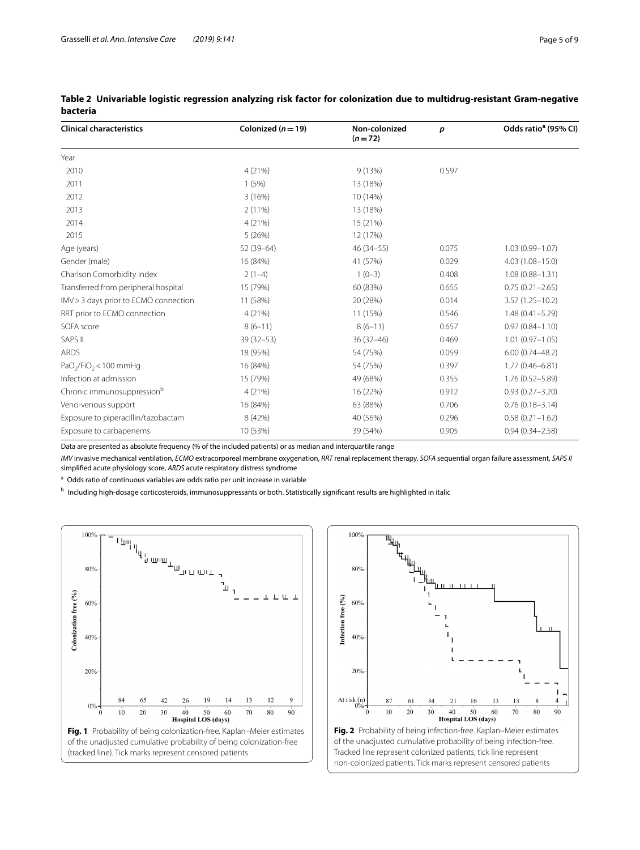| <b>Clinical characteristics</b>        | Colonized ( $n = 19$ ) | Non-colonized<br>$(n=72)$ | р     | Odds ratio <sup>a</sup> (95% CI) |
|----------------------------------------|------------------------|---------------------------|-------|----------------------------------|
| Year                                   |                        |                           |       |                                  |
| 2010                                   | 4(21%)                 | 9(13%)                    | 0.597 |                                  |
| 2011                                   | 1(5%)                  | 13 (18%)                  |       |                                  |
| 2012                                   | 3(16%)                 | 10 (14%)                  |       |                                  |
| 2013                                   | $2(11\%)$              | 13 (18%)                  |       |                                  |
| 2014                                   | 4(21%)                 | 15 (21%)                  |       |                                  |
| 2015                                   | 5(26%)                 | 12 (17%)                  |       |                                  |
| Age (years)                            | 52 (39-64)             | $46(34 - 55)$             | 0.075 | $1.03(0.99 - 1.07)$              |
| Gender (male)                          | 16 (84%)               | 41 (57%)                  | 0.029 | $4.03(1.08 - 15.0)$              |
| Charlson Comorbidity Index             | $2(1-4)$               | $1(0-3)$                  | 0.408 | $1.08(0.88 - 1.31)$              |
| Transferred from peripheral hospital   | 15 (79%)               | 60 (83%)                  | 0.655 | $0.75(0.21 - 2.65)$              |
| IMV > 3 days prior to ECMO connection  | 11 (58%)               | 20 (28%)                  | 0.014 | $3.57(1.25 - 10.2)$              |
| RRT prior to ECMO connection           | 4(21%)                 | 11 (15%)                  | 0.546 | $1.48(0.41 - 5.29)$              |
| SOFA score                             | $8(6-11)$              | $8(6-11)$                 | 0.657 | $0.97(0.84 - 1.10)$              |
| SAPS II                                | $39(32 - 53)$          | $36(32 - 46)$             | 0.469 | $1.01(0.97 - 1.05)$              |
| <b>ARDS</b>                            | 18 (95%)               | 54 (75%)                  | 0.059 | $6.00(0.74 - 48.2)$              |
| $PaO2/FiO2 < 100 mmHg$                 | 16 (84%)               | 54 (75%)                  | 0.397 | $1.77(0.46 - 6.81)$              |
| Infection at admission                 | 15 (79%)               | 49 (68%)                  | 0.355 | $1.76(0.52 - 5.89)$              |
| Chronic immunosuppression <sup>b</sup> | 4(21%)                 | 16 (22%)                  | 0.912 | $0.93(0.27 - 3.20)$              |
| Veno-venous support                    | 16 (84%)               | 63 (88%)                  | 0.706 | $0.76(0.18 - 3.14)$              |
| Exposure to piperacillin/tazobactam    | 8 (42%)                | 40 (56%)                  | 0.296 | $0.58(0.21 - 1.62)$              |
| Exposure to carbapenems                | 10 (53%)               | 39 (54%)                  | 0.905 | $0.94(0.34 - 2.58)$              |

#### <span id="page-4-0"></span>**Table 2 Univariable logistic regression analyzing risk factor for colonization due to multidrug-resistant Gram-negative bacteria**

Data are presented as absolute frequency (% of the included patients) or as median and interquartile range

*IMV* invasive mechanical ventilation, *ECMO* extracorporeal membrane oxygenation, *RRT* renal replacement therapy, *SOFA* sequential organ failure assessment, *SAPS II* simplifed acute physiology score, *ARDS* acute respiratory distress syndrome

<sup>a</sup> Odds ratio of continuous variables are odds ratio per unit increase in variable

**b** Including high-dosage corticosteroids, immunosuppressants or both. Statistically significant results are highlighted in italic

<span id="page-4-1"></span>

<span id="page-4-2"></span>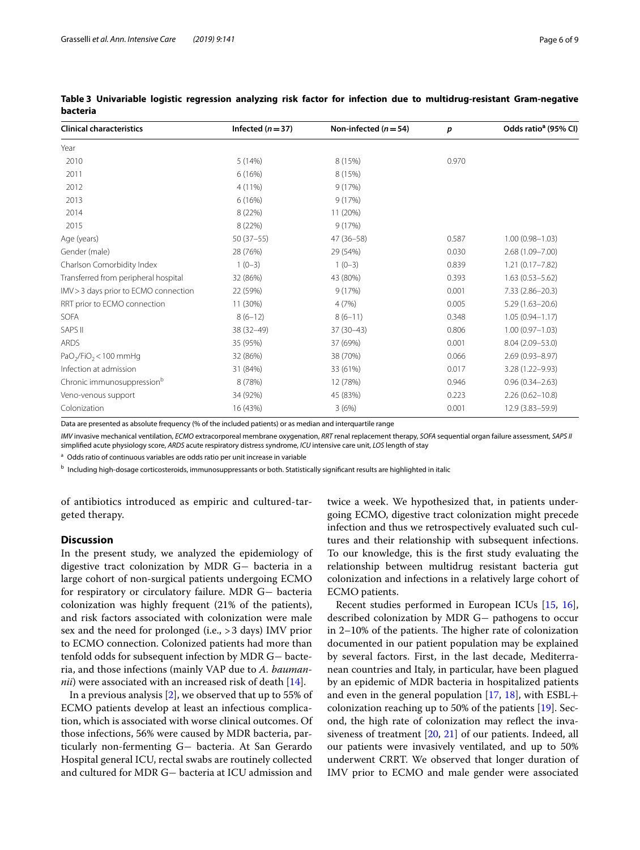| <b>Clinical characteristics</b>        | Infected $(n=37)$ | Non-infected ( $n = 54$ ) | $\boldsymbol{p}$ | Odds ratio <sup>a</sup> (95% CI) |
|----------------------------------------|-------------------|---------------------------|------------------|----------------------------------|
| Year                                   |                   |                           |                  |                                  |
| 2010                                   | 5(14%)            | 8 (15%)                   | 0.970            |                                  |
| 2011                                   | 6(16%)            | 8 (15%)                   |                  |                                  |
| 2012                                   | 4 (11%)           | 9(17%)                    |                  |                                  |
| 2013                                   | 6(16%)            | 9(17%)                    |                  |                                  |
| 2014                                   | 8 (22%)           | 11 (20%)                  |                  |                                  |
| 2015                                   | 8 (22%)           | 9(17%)                    |                  |                                  |
| Age (years)                            | $50(37-55)$       | $47(36 - 58)$             | 0.587            | $1.00(0.98 - 1.03)$              |
| Gender (male)                          | 28 (76%)          | 29 (54%)                  | 0.030            | 2.68 (1.09-7.00)                 |
| Charlson Comorbidity Index             | $1(0-3)$          | $1(0-3)$                  | 0.839            | $1.21(0.17 - 7.82)$              |
| Transferred from peripheral hospital   | 32 (86%)          | 43 (80%)                  | 0.393            | $1.63(0.53 - 5.62)$              |
| IMV > 3 days prior to ECMO connection  | 22 (59%)          | 9(17%)                    | 0.001            | $7.33(2.86 - 20.3)$              |
| RRT prior to ECMO connection           | 11 (30%)          | 4(7%)                     | 0.005            | $5.29(1.63 - 20.6)$              |
| <b>SOFA</b>                            | $8(6-12)$         | $8(6-11)$                 | 0.348            | $1.05(0.94 - 1.17)$              |
| SAPS II                                | 38 (32-49)        | $37(30-43)$               | 0.806            | $1.00(0.97 - 1.03)$              |
| <b>ARDS</b>                            | 35 (95%)          | 37 (69%)                  | 0.001            | $8.04(2.09 - 53.0)$              |
| $PaO2/FiO2 < 100 mmHg$                 | 32 (86%)          | 38 (70%)                  | 0.066            | $2.69(0.93 - 8.97)$              |
| Infection at admission                 | 31 (84%)          | 33 (61%)                  | 0.017            | $3.28(1.22 - 9.93)$              |
| Chronic immunosuppression <sup>b</sup> | 8 (78%)           | 12 (78%)                  | 0.946            | $0.96(0.34 - 2.63)$              |
| Veno-venous support                    | 34 (92%)          | 45 (83%)                  | 0.223            | $2.26(0.62 - 10.8)$              |
| Colonization                           | 16 (43%)          | 3(6%)                     | 0.001            | 12.9 (3.83-59.9)                 |

<span id="page-5-0"></span>**Table 3 Univariable logistic regression analyzing risk factor for infection due to multidrug-resistant Gram-negative bacteria**

Data are presented as absolute frequency (% of the included patients) or as median and interquartile range

*IMV* invasive mechanical ventilation, *ECMO* extracorporeal membrane oxygenation, *RRT* renal replacement therapy, *SOFA* sequential organ failure assessment, *SAPS II* simplifed acute physiology score, *ARDS* acute respiratory distress syndrome, *ICU* intensive care unit, *LOS* length of stay

<sup>a</sup> Odds ratio of continuous variables are odds ratio per unit increase in variable

**b** Including high-dosage corticosteroids, immunosuppressants or both. Statistically significant results are highlighted in italic

of antibiotics introduced as empiric and cultured-targeted therapy.

#### **Discussion**

In the present study, we analyzed the epidemiology of digestive tract colonization by MDR G− bacteria in a large cohort of non-surgical patients undergoing ECMO for respiratory or circulatory failure. MDR G− bacteria colonization was highly frequent (21% of the patients), and risk factors associated with colonization were male sex and the need for prolonged (i.e., >3 days) IMV prior to ECMO connection. Colonized patients had more than tenfold odds for subsequent infection by MDR G− bacteria, and those infections (mainly VAP due to *A. baumannii*) were associated with an increased risk of death [[14](#page-7-11)].

In a previous analysis [[2\]](#page-7-1), we observed that up to 55% of ECMO patients develop at least an infectious complication, which is associated with worse clinical outcomes. Of those infections, 56% were caused by MDR bacteria, particularly non-fermenting G− bacteria. At San Gerardo Hospital general ICU, rectal swabs are routinely collected and cultured for MDR G− bacteria at ICU admission and

twice a week. We hypothesized that, in patients undergoing ECMO, digestive tract colonization might precede infection and thus we retrospectively evaluated such cultures and their relationship with subsequent infections. To our knowledge, this is the frst study evaluating the relationship between multidrug resistant bacteria gut colonization and infections in a relatively large cohort of ECMO patients.

Recent studies performed in European ICUs [\[15](#page-7-12), [16](#page-7-13)], described colonization by MDR G− pathogens to occur in  $2-10%$  of the patients. The higher rate of colonization documented in our patient population may be explained by several factors. First, in the last decade, Mediterranean countries and Italy, in particular, have been plagued by an epidemic of MDR bacteria in hospitalized patients and even in the general population [[17,](#page-7-14) [18\]](#page-7-15), with  $ESBL+$ colonization reaching up to 50% of the patients [\[19](#page-7-16)]. Second, the high rate of colonization may refect the invasiveness of treatment [\[20](#page-7-17), [21](#page-7-18)] of our patients. Indeed, all our patients were invasively ventilated, and up to 50% underwent CRRT. We observed that longer duration of IMV prior to ECMO and male gender were associated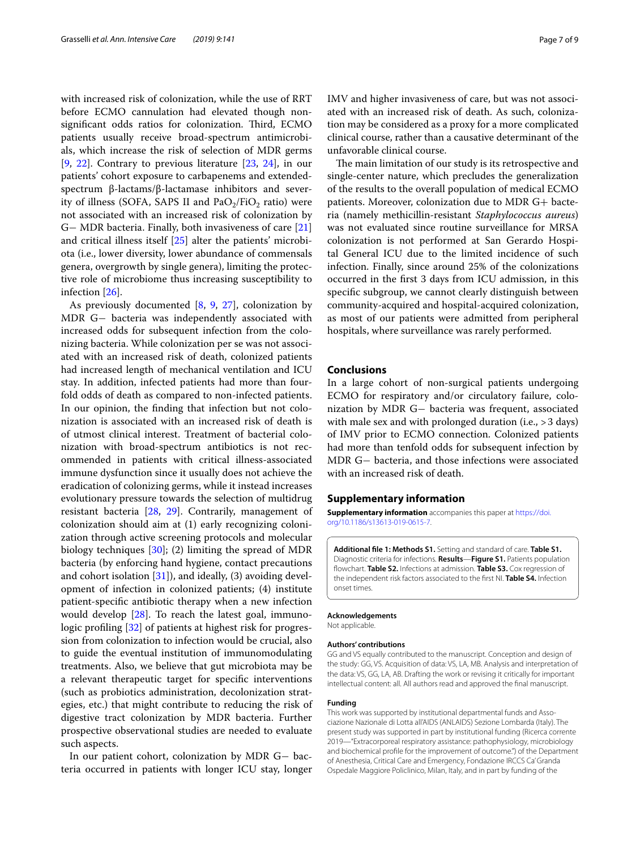with increased risk of colonization, while the use of RRT before ECMO cannulation had elevated though nonsignificant odds ratios for colonization. Third, ECMO patients usually receive broad-spectrum antimicrobials, which increase the risk of selection of MDR germs  $[9, 22]$  $[9, 22]$  $[9, 22]$  $[9, 22]$ . Contrary to previous literature  $[23, 24]$  $[23, 24]$  $[23, 24]$  $[23, 24]$ , in our patients' cohort exposure to carbapenems and extendedspectrum β-lactams/β-lactamase inhibitors and severity of illness (SOFA, SAPS II and  $PaO<sub>2</sub>/FiO<sub>2</sub>$  ratio) were not associated with an increased risk of colonization by G− MDR bacteria. Finally, both invasiveness of care [[21](#page-7-18)] and critical illness itself [\[25](#page-7-22)] alter the patients' microbiota (i.e., lower diversity, lower abundance of commensals genera, overgrowth by single genera), limiting the protective role of microbiome thus increasing susceptibility to infection [[26\]](#page-7-23).

As previously documented [[8](#page-7-24), [9,](#page-7-7) [27\]](#page-7-25), colonization by MDR G− bacteria was independently associated with increased odds for subsequent infection from the colonizing bacteria. While colonization per se was not associated with an increased risk of death, colonized patients had increased length of mechanical ventilation and ICU stay. In addition, infected patients had more than fourfold odds of death as compared to non-infected patients. In our opinion, the fnding that infection but not colonization is associated with an increased risk of death is of utmost clinical interest. Treatment of bacterial colonization with broad-spectrum antibiotics is not recommended in patients with critical illness-associated immune dysfunction since it usually does not achieve the eradication of colonizing germs, while it instead increases evolutionary pressure towards the selection of multidrug resistant bacteria [[28,](#page-7-26) [29\]](#page-7-27). Contrarily, management of colonization should aim at (1) early recognizing colonization through active screening protocols and molecular biology techniques [\[30](#page-7-28)]; (2) limiting the spread of MDR bacteria (by enforcing hand hygiene, contact precautions and cohort isolation  $[31]$  $[31]$ ), and ideally,  $(3)$  avoiding development of infection in colonized patients; (4) institute patient-specifc antibiotic therapy when a new infection would develop [\[28\]](#page-7-26). To reach the latest goal, immuno-logic profiling [[32](#page-8-1)] of patients at highest risk for progression from colonization to infection would be crucial, also to guide the eventual institution of immunomodulating treatments. Also, we believe that gut microbiota may be a relevant therapeutic target for specifc interventions (such as probiotics administration, decolonization strategies, etc.) that might contribute to reducing the risk of digestive tract colonization by MDR bacteria. Further prospective observational studies are needed to evaluate such aspects.

In our patient cohort, colonization by MDR G− bacteria occurred in patients with longer ICU stay, longer IMV and higher invasiveness of care, but was not associated with an increased risk of death. As such, colonization may be considered as a proxy for a more complicated clinical course, rather than a causative determinant of the unfavorable clinical course.

The main limitation of our study is its retrospective and single-center nature, which precludes the generalization of the results to the overall population of medical ECMO patients. Moreover, colonization due to MDR G+ bacteria (namely methicillin-resistant *Staphylococcus aureus*) was not evaluated since routine surveillance for MRSA colonization is not performed at San Gerardo Hospital General ICU due to the limited incidence of such infection. Finally, since around 25% of the colonizations occurred in the frst 3 days from ICU admission, in this specifc subgroup, we cannot clearly distinguish between community-acquired and hospital-acquired colonization, as most of our patients were admitted from peripheral hospitals, where surveillance was rarely performed.

#### **Conclusions**

In a large cohort of non-surgical patients undergoing ECMO for respiratory and/or circulatory failure, colonization by MDR G− bacteria was frequent, associated with male sex and with prolonged duration (i.e., > 3 days) of IMV prior to ECMO connection. Colonized patients had more than tenfold odds for subsequent infection by MDR G− bacteria, and those infections were associated with an increased risk of death.

#### **Supplementary information**

**Supplementary information** accompanies this paper at [https://doi.](https://doi.org/10.1186/s13613-019-0615-7) [org/10.1186/s13613-019-0615-7.](https://doi.org/10.1186/s13613-019-0615-7)

<span id="page-6-0"></span>**Additional fle 1: Methods S1.** Setting and standard of care. **Table S1.** Diagnostic criteria for infections. **Results**—**Figure S1.** Patients population fowchart. **Table S2.** Infections at admission. **Table S3.** Cox regression of the independent risk factors associated to the frst NI. **Table S4.** Infection onset times.

#### **Acknowledgements**

Not applicable.

#### **Authors' contributions**

GG and VS equally contributed to the manuscript. Conception and design of the study: GG, VS. Acquisition of data: VS, LA, MB. Analysis and interpretation of the data: VS, GG, LA, AB. Drafting the work or revising it critically for important intellectual content: all. All authors read and approved the fnal manuscript.

#### **Funding**

This work was supported by institutional departmental funds and Associazione Nazionale di Lotta all'AIDS (ANLAIDS) Sezione Lombarda (Italy). The present study was supported in part by institutional funding (Ricerca corrente 2019—"Extracorporeal respiratory assistance: pathophysiology, microbiology and biochemical profle for the improvement of outcome.") of the Department of Anesthesia, Critical Care and Emergency, Fondazione IRCCS Ca' Granda Ospedale Maggiore Policlinico, Milan, Italy, and in part by funding of the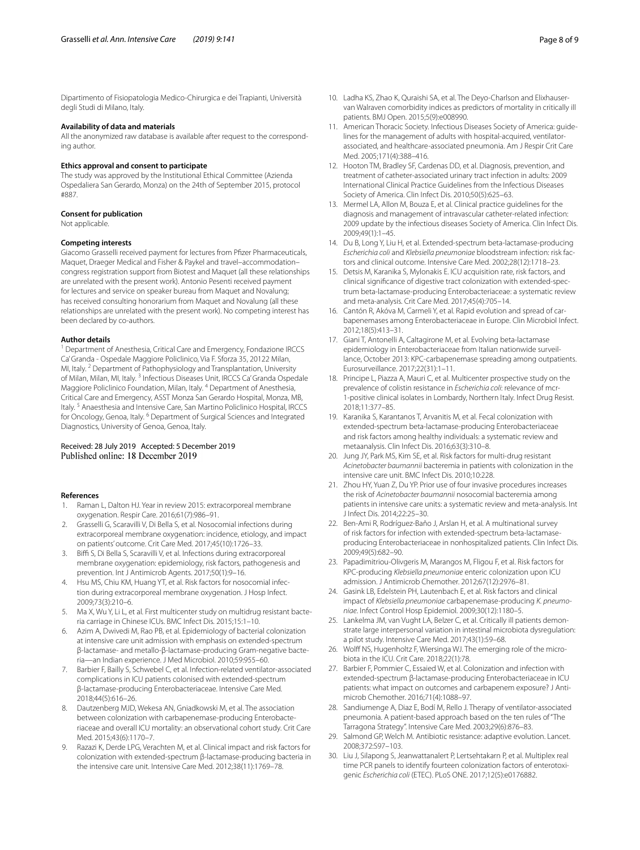Dipartimento of Fisiopatologia Medico-Chirurgica e dei Trapianti, Università degli Studi di Milano, Italy.

#### **Availability of data and materials**

All the anonymized raw database is available after request to the corresponding author.

#### **Ethics approval and consent to participate**

The study was approved by the Institutional Ethical Committee (Azienda Ospedaliera San Gerardo, Monza) on the 24th of September 2015, protocol #887.

#### **Consent for publication**

Not applicable.

#### **Competing interests**

Giacomo Grasselli received payment for lectures from Pfzer Pharmaceuticals, Maquet, Draeger Medical and Fisher & Paykel and travel–accommodation– congress registration support from Biotest and Maquet (all these relationships are unrelated with the present work). Antonio Pesenti received payment for lectures and service on speaker bureau from Maquet and Novalung; has received consulting honorarium from Maquet and Novalung (all these relationships are unrelated with the present work). No competing interest has been declared by co-authors.

#### **Author details**

<sup>1</sup> Department of Anesthesia, Critical Care and Emergency, Fondazione IRCCS Ca' Granda - Ospedale Maggiore Policlinico, Via F. Sforza 35, 20122 Milan, MI, Italy. <sup>2</sup> Department of Pathophysiology and Transplantation, University of Milan, Milan, MI, Italy.<sup>3</sup> Infectious Diseases Unit, IRCCS Ca' Granda Ospedale Maggiore Policlinico Foundation, Milan, Italy. 4 Department of Anesthesia, Critical Care and Emergency, ASST Monza San Gerardo Hospital, Monza, MB, Italy. 5 Anaesthesia and Intensive Care, San Martino Policlinico Hospital, IRCCS for Oncology, Genoa, Italy. <sup>6</sup> Department of Surgical Sciences and Integrated Diagnostics, University of Genoa, Genoa, Italy.

# Received: 28 July 2019 Accepted: 5 December 2019

#### **References**

- <span id="page-7-0"></span>1. Raman L, Dalton HJ. Year in review 2015: extracorporeal membrane oxygenation. Respir Care. 2016;61(7):986–91.
- <span id="page-7-1"></span>2. Grasselli G, Scaravilli V, Di Bella S, et al. Nosocomial infections during extracorporeal membrane oxygenation: incidence, etiology, and impact on patients' outcome. Crit Care Med. 2017;45(10):1726–33.
- <span id="page-7-3"></span>3. Biffi S, Di Bella S, Scaravilli V, et al. Infections during extracorporeal membrane oxygenation: epidemiology, risk factors, pathogenesis and prevention. Int J Antimicrob Agents. 2017;50(1):9–16.
- <span id="page-7-2"></span>4. Hsu MS, Chiu KM, Huang YT, et al. Risk factors for nosocomial infection during extracorporeal membrane oxygenation. J Hosp Infect. 2009;73(3):210–6.
- <span id="page-7-4"></span>5. Ma X, Wu Y, Li L, et al. First multicenter study on multidrug resistant bacteria carriage in Chinese ICUs. BMC Infect Dis. 2015;15:1–10.
- <span id="page-7-5"></span>6. Azim A, Dwivedi M, Rao PB, et al. Epidemiology of bacterial colonization at intensive care unit admission with emphasis on extended-spectrum β-lactamase- and metallo-β-lactamase-producing Gram-negative bacteria—an Indian experience. J Med Microbiol. 2010;59:955–60.
- <span id="page-7-6"></span>7. Barbier F, Bailly S, Schwebel C, et al. Infection-related ventilator-associated complications in ICU patients colonised with extended-spectrum β-lactamase-producing Enterobacteriaceae. Intensive Care Med. 2018;44(5):616–26.
- <span id="page-7-24"></span>8. Dautzenberg MJD, Wekesa AN, Gniadkowski M, et al. The association between colonization with carbapenemase-producing Enterobacteriaceae and overall ICU mortality: an observational cohort study. Crit Care Med. 2015;43(6):1170–7.
- <span id="page-7-7"></span>9. Razazi K, Derde LPG, Verachten M, et al. Clinical impact and risk factors for colonization with extended-spectrum β-lactamase-producing bacteria in the intensive care unit. Intensive Care Med. 2012;38(11):1769–78.
- <span id="page-7-8"></span>10. Ladha KS, Zhao K, Quraishi SA, et al. The Deyo-Charlson and Elixhauservan Walraven comorbidity indices as predictors of mortality in critically ill patients. BMJ Open. 2015;5(9):e008990.
- <span id="page-7-9"></span>11. American Thoracic Society. Infectious Diseases Society of America: guidelines for the management of adults with hospital-acquired, ventilatorassociated, and healthcare-associated pneumonia. Am J Respir Crit Care Med. 2005;171(4):388–416.
- 12. Hooton TM, Bradley SF, Cardenas DD, et al. Diagnosis, prevention, and treatment of catheter-associated urinary tract infection in adults: 2009 International Clinical Practice Guidelines from the Infectious Diseases Society of America. Clin Infect Dis. 2010;50(5):625–63.
- <span id="page-7-10"></span>13. Mermel LA, Allon M, Bouza E, et al. Clinical practice guidelines for the diagnosis and management of intravascular catheter-related infection: 2009 update by the infectious diseases Society of America. Clin Infect Dis. 2009;49(1):1–45.
- <span id="page-7-11"></span>14. Du B, Long Y, Liu H, et al. Extended-spectrum beta-lactamase-producing *Escherichia coli* and *Klebsiella pneumoniae* bloodstream infection: risk factors and clinical outcome. Intensive Care Med. 2002;28(12):1718–23.
- <span id="page-7-12"></span>15. Detsis M, Karanika S, Mylonakis E. ICU acquisition rate, risk factors, and clinical signifcance of digestive tract colonization with extended-spectrum beta-lactamase-producing Enterobacteriaceae: a systematic review and meta-analysis. Crit Care Med. 2017;45(4):705–14.
- <span id="page-7-13"></span>16. Cantón R, Akóva M, Carmeli Y, et al. Rapid evolution and spread of carbapenemases among Enterobacteriaceae in Europe. Clin Microbiol Infect. 2012;18(5):413–31.
- <span id="page-7-14"></span>17. Giani T, Antonelli A, Caltagirone M, et al. Evolving beta-lactamase epidemiology in Enterobacteriaceae from Italian nationwide surveillance, October 2013: KPC-carbapenemase spreading among outpatients. Eurosurveillance. 2017;22(31):1–11.
- <span id="page-7-15"></span>18. Principe L, Piazza A, Mauri C, et al. Multicenter prospective study on the prevalence of colistin resistance in *Escherichia coli*: relevance of mcr-1-positive clinical isolates in Lombardy, Northern Italy. Infect Drug Resist. 2018;11:377–85.
- <span id="page-7-16"></span>19. Karanika S, Karantanos T, Arvanitis M, et al. Fecal colonization with extended-spectrum beta-lactamase-producing Enterobacteriaceae and risk factors among healthy individuals: a systematic review and metaanalysis. Clin Infect Dis. 2016;63(3):310–8.
- <span id="page-7-17"></span>20. Jung JY, Park MS, Kim SE, et al. Risk factors for multi-drug resistant *Acinetobacter baumannii* bacteremia in patients with colonization in the intensive care unit. BMC Infect Dis. 2010;10:228.
- <span id="page-7-18"></span>21. Zhou HY, Yuan Z, Du YP. Prior use of four invasive procedures increases the risk of *Acinetobacter baumannii* nosocomial bacteremia among patients in intensive care units: a systematic review and meta-analysis. Int J Infect Dis. 2014;22:25–30.
- <span id="page-7-19"></span>22. Ben-Ami R, Rodríguez-Baño J, Arslan H, et al. A multinational survey of risk factors for infection with extended-spectrum beta-lactamaseproducing Enterobacteriaceae in nonhospitalized patients. Clin Infect Dis. 2009;49(5):682–90.
- <span id="page-7-20"></span>23. Papadimitriou-Olivgeris M, Marangos M, Fligou F, et al. Risk factors for KPC-producing *Klebsiella pneumoniae* enteric colonization upon ICU admission. J Antimicrob Chemother. 2012;67(12):2976–81.
- <span id="page-7-21"></span>24. Gasink LB, Edelstein PH, Lautenbach E, et al. Risk factors and clinical impact of *Klebsiella pneumoniae* carbapenemase-producing *K. pneumoniae*. Infect Control Hosp Epidemiol. 2009;30(12):1180–5.
- <span id="page-7-22"></span>25. Lankelma JM, van Vught LA, Belzer C, et al. Critically ill patients demonstrate large interpersonal variation in intestinal microbiota dysregulation: a pilot study. Intensive Care Med. 2017;43(1):59–68.
- <span id="page-7-23"></span>26. Wolff NS, Hugenholtz F, Wiersinga WJ. The emerging role of the microbiota in the ICU. Crit Care. 2018;22(1):78.
- <span id="page-7-25"></span>27. Barbier F, Pommier C, Essaied W, et al. Colonization and infection with extended-spectrum β-lactamase-producing Enterobacteriaceae in ICU patients: what impact on outcomes and carbapenem exposure? J Antimicrob Chemother. 2016;71(4):1088–97.
- <span id="page-7-26"></span>28. Sandiumenge A, Diaz E, Bodí M, Rello J. Therapy of ventilator-associated pneumonia. A patient-based approach based on the ten rules of "The Tarragona Strategy". Intensive Care Med. 2003;29(6):876–83.
- <span id="page-7-27"></span>29. Salmond GP, Welch M. Antibiotic resistance: adaptive evolution. Lancet. 2008;372:S97–103.
- <span id="page-7-28"></span>30. Liu J, Silapong S, Jeanwattanalert P, Lertsehtakarn P, et al. Multiplex real time PCR panels to identify fourteen colonization factors of enterotoxigenic *Escherichia coli* (ETEC). PLoS ONE. 2017;12(5):e0176882.